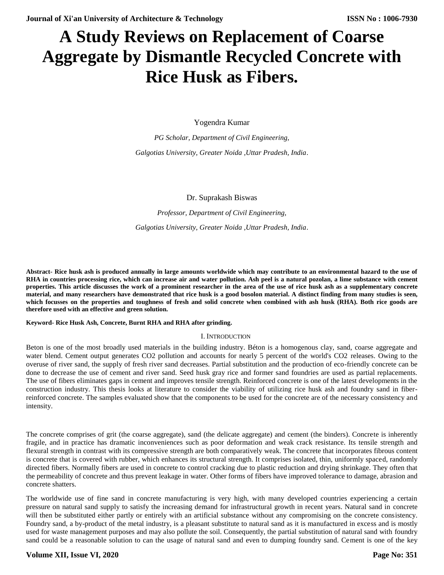# **A Study Reviews on Replacement of Coarse Aggregate by Dismantle Recycled Concrete with Rice Husk as Fibers.**

Yogendra Kumar

*PG Scholar, Department of Civil Engineering, Galgotias University, Greater Noida ,Uttar Pradesh, India*.

Dr. Suprakash Biswas

*Professor, Department of Civil Engineering,*

*Galgotias University, Greater Noida ,Uttar Pradesh, India*.

**Abstract- Rice husk ash is produced annually in large amounts worldwide which may contribute to an environmental hazard to the use of RHA in countries processing rice, which can increase air and water pollution. Ash peel is a natural pozolan, a lime substance with cement properties. This article discusses the work of a prominent researcher in the area of the use of rice husk ash as a supplementary concrete material, and many researchers have demonstrated that rice husk is a good bosolon material. A distinct finding from many studies is seen, which focusses on the properties and toughness of fresh and solid concrete when combined with ash husk (RHA). Both rice goods are therefore used with an effective and green solution.**

#### **Keyword- Rice Husk Ash, Concrete, Burnt RHA and RHA after grinding.**

## I. INTRODUCTION

Beton is one of the most broadly used materials in the building industry. Béton is a homogenous clay, sand, coarse aggregate and water blend. Cement output generates CO2 pollution and accounts for nearly 5 percent of the world's CO2 releases. Owing to the overuse of river sand, the supply of fresh river sand decreases. Partial substitution and the production of eco-friendly concrete can be done to decrease the use of cement and river sand. Seed husk gray rice and former sand foundries are used as partial replacements. The use of fibers eliminates gaps in cement and improves tensile strength. Reinforced concrete is one of the latest developments in the construction industry. This thesis looks at literature to consider the viability of utilizing rice husk ash and foundry sand in fiberreinforced concrete. The samples evaluated show that the components to be used for the concrete are of the necessary consistency and intensity.

The concrete comprises of grit (the coarse aggregate), sand (the delicate aggregate) and cement (the binders). Concrete is inherently fragile, and in practice has dramatic inconveniences such as poor deformation and weak crack resistance. Its tensile strength and flexural strength in contrast with its compressive strength are both comparatively weak. The concrete that incorporates fibrous content is concrete that is covered with rubber, which enhances its structural strength. It comprises isolated, thin, uniformly spaced, randomly directed fibers. Normally fibers are used in concrete to control cracking due to plastic reduction and drying shrinkage. They often that the permeability of concrete and thus prevent leakage in water. Other forms of fibers have improved tolerance to damage, abrasion and concrete shatters.

The worldwide use of fine sand in concrete manufacturing is very high, with many developed countries experiencing a certain pressure on natural sand supply to satisfy the increasing demand for infrastructural growth in recent years. Natural sand in concrete will then be substituted either partly or entirely with an artificial substance without any compromising on the concrete consistency. Foundry sand, a by-product of the metal industry, is a pleasant substitute to natural sand as it is manufactured in excess and is mostly used for waste management purposes and may also pollute the soil. Consequently, the partial substitution of natural sand with foundry sand could be a reasonable solution to can the usage of natural sand and even to dumping foundry sand. Cement is one of the key

# **Volume XII, Issue VI, 2020**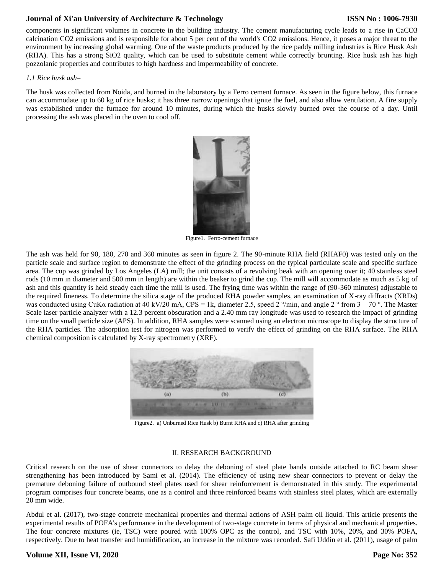# **Journal of Xi'an University of Architecture & Technology**

components in significant volumes in concrete in the building industry. The cement manufacturing cycle leads to a rise in CaCO3 calcination CO2 emissions and is responsible for about 5 per cent of the world's CO2 emissions. Hence, it poses a major threat to the environment by increasing global warming. One of the waste products produced by the rice paddy milling industries is Rice Husk Ash (RHA). This has a strong SiO2 quality, which can be used to substitute cement while correctly brunting. Rice husk ash has high pozzolanic properties and contributes to high hardness and impermeability of concrete.

#### *1.1 Rice husk ash–*

The husk was collected from Noida, and burned in the laboratory by a Ferro cement furnace. As seen in the figure below, this furnace can accommodate up to 60 kg of rice husks; it has three narrow openings that ignite the fuel, and also allow ventilation. A fire supply was established under the furnace for around 10 minutes, during which the husks slowly burned over the course of a day. Until processing the ash was placed in the oven to cool off.



Figure1. Ferro-cement furnace

The ash was held for 90, 180, 270 and 360 minutes as seen in figure 2. The 90-minute RHA field (RHAF0) was tested only on the particle scale and surface region to demonstrate the effect of the grinding process on the typical particulate scale and specific surface area. The cup was grinded by Los Angeles (LA) mill; the unit consists of a revolving beak with an opening over it; 40 stainless steel rods (10 mm in diameter and 500 mm in length) are within the beaker to grind the cup. The mill will accommodate as much as 5 kg of ash and this quantity is held steady each time the mill is used. The frying time was within the range of (90-360 minutes) adjustable to the required fineness. To determine the silica stage of the produced RHA powder samples, an examination of X-ray diffracts (XRDs) was conducted using CuK $\alpha$  radiation at 40 kV/20 mA, CPS = 1k, diameter 2.5, speed 2  $\degree$ /min, and angle 2  $\degree$  from 3 – 70  $\degree$ . The Master Scale laser particle analyzer with a 12.3 percent obscuration and a 2.40 mm ray longitude was used to research the impact of grinding time on the small particle size (APS). In addition, RHA samples were scanned using an electron microscope to display the structure of the RHA particles. The adsorption test for nitrogen was performed to verify the effect of grinding on the RHA surface. The RHA chemical composition is calculated by X-ray spectrometry (XRF).



Figure2. a) Unburned Rice Husk b) Burnt RHA and c) RHA after grinding

#### II. RESEARCH BACKGROUND

Critical research on the use of shear connectors to delay the deboning of steel plate bands outside attached to RC beam shear strengthening has been introduced by Sami et al. (2014). The efficiency of using new shear connectors to prevent or delay the premature deboning failure of outbound steel plates used for shear reinforcement is demonstrated in this study. The experimental program comprises four concrete beams, one as a control and three reinforced beams with stainless steel plates, which are externally 20 mm wide.

Abdul et al. (2017), two-stage concrete mechanical properties and thermal actions of ASH palm oil liquid. This article presents the experimental results of POFA's performance in the development of two-stage concrete in terms of physical and mechanical properties. The four concrete mixtures (ie, TSC) were poured with 100% OPC as the control, and TSC with 10%, 20%, and 30% POFA, respectively. Due to heat transfer and humidification, an increase in the mixture was recorded. Safi Uddin et al. (2011), usage of palm

## **Volume XII, Issue VI, 2020**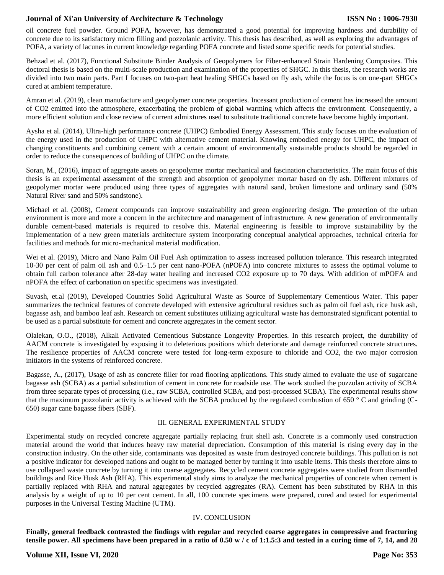# **Journal of Xi'an University of Architecture & Technology**

oil concrete fuel powder. Ground POFA, however, has demonstrated a good potential for improving hardness and durability of concrete due to its satisfactory micro filling and pozzolanic activity. This thesis has described, as well as exploring the advantages of POFA, a variety of lacunes in current knowledge regarding POFA concrete and listed some specific needs for potential studies.

Behzad et al. (2017), Functional Substitute Binder Analysis of Geopolymers for Fiber-enhanced Strain Hardening Composites. This doctoral thesis is based on the multi-scale production and examination of the properties of SHGC. In this thesis, the research works are divided into two main parts. Part I focuses on two-part heat healing SHGCs based on fly ash, while the focus is on one-part SHGCs cured at ambient temperature.

Amran et al. (2019), clean manufacture and geopolymer concrete properties. Incessant production of cement has increased the amount of CO2 emitted into the atmosphere, exacerbating the problem of global warming which affects the environment. Consequently, a more efficient solution and close review of current admixtures used to substitute traditional concrete have become highly important.

Aysha et al. (2014), Ultra-high performance concrete (UHPC) Embodied Energy Assessment. This study focuses on the evaluation of the energy used in the production of UHPC with alternative cement material. Knowing embodied energy for UHPC, the impact of changing constituents and combining cement with a certain amount of environmentally sustainable products should be regarded in order to reduce the consequences of building of UHPC on the climate.

Soran, M., (2016), impact of aggregate assets on geopolymer mortar mechanical and fascination characteristics. The main focus of this thesis is an experimental assessment of the strength and absorption of geopolymer mortar based on fly ash. Different mixtures of geopolymer mortar were produced using three types of aggregates with natural sand, broken limestone and ordinary sand (50% Natural River sand and 50% sandstone).

Michael et al. (2008), Cement compounds can improve sustainability and green engineering design. The protection of the urban environment is more and more a concern in the architecture and management of infrastructure. A new generation of environmentally durable cement-based materials is required to resolve this. Material engineering is feasible to improve sustainability by the implementation of a new green materials architecture system incorporating conceptual analytical approaches, technical criteria for facilities and methods for micro-mechanical material modification.

Wei et al. (2019), Micro and Nano Palm Oil Fuel Ash optimization to assess increased pollution tolerance. This research integrated 10-30 per cent of palm oil ash and 0.5–1.5 per cent nano-POFA (nPOFA) into concrete mixtures to assess the optimal volume to obtain full carbon tolerance after 28-day water healing and increased CO2 exposure up to 70 days. With addition of mPOFA and nPOFA the effect of carbonation on specific specimens was investigated.

Suvash, et.al (2019), Developed Countries Solid Agricultural Waste as Source of Supplementary Cementious Water. This paper summarizes the technical features of concrete developed with extensive agricultural residues such as palm oil fuel ash, rice husk ash, bagasse ash, and bamboo leaf ash. Research on cement substitutes utilizing agricultural waste has demonstrated significant potential to be used as a partial substitute for cement and concrete aggregates in the cement sector.

Olalekan, O.O., (2018), Alkali Activated Cementious Substance Longevity Properties. In this research project, the durability of AACM concrete is investigated by exposing it to deleterious positions which deteriorate and damage reinforced concrete structures. The resilience properties of AACM concrete were tested for long-term exposure to chloride and CO2, the two major corrosion initiators in the systems of reinforced concrete.

Bagasse, A., (2017), Usage of ash as concrete filler for road flooring applications. This study aimed to evaluate the use of sugarcane bagasse ash (SCBA) as a partial substitution of cement in concrete for roadside use. The work studied the pozzolan activity of SCBA from three separate types of processing (i.e., raw SCBA, controlled SCBA, and post-processed SCBA). The experimental results show that the maximum pozzolanic activity is achieved with the SCBA produced by the regulated combustion of 650 ° C and grinding (C-650) sugar cane bagasse fibers (SBF).

#### III. GENERAL EXPERIMENTAL STUDY

Experimental study on recycled concrete aggregate partially replacing fruit shell ash. Concrete is a commonly used construction material around the world that induces heavy raw material depreciation. Consumption of this material is rising every day in the construction industry. On the other side, contaminants was deposited as waste from destroyed concrete buildings. This pollution is not a positive indicator for developed nations and ought to be managed better by turning it into usable items. This thesis therefore aims to use collapsed waste concrete by turning it into coarse aggregates. Recycled cement concrete aggregates were studied from dismantled buildings and Rice Husk Ash (RHA). This experimental study aims to analyze the mechanical properties of concrete when cement is partially replaced with RHA and natural aggregates by recycled aggregates (RA). Cement has been substituted by RHA in this analysis by a weight of up to 10 per cent cement. In all, 100 concrete specimens were prepared, cured and tested for experimental purposes in the Universal Testing Machine (UTM).

#### IV. CONCLUSION

**Finally, general feedback contrasted the findings with regular and recycled coarse aggregates in compressive and fracturing tensile power. All specimens have been prepared in a ratio of 0.50 w / c of 1:1.5:3 and tested in a curing time of 7, 14, and 28**